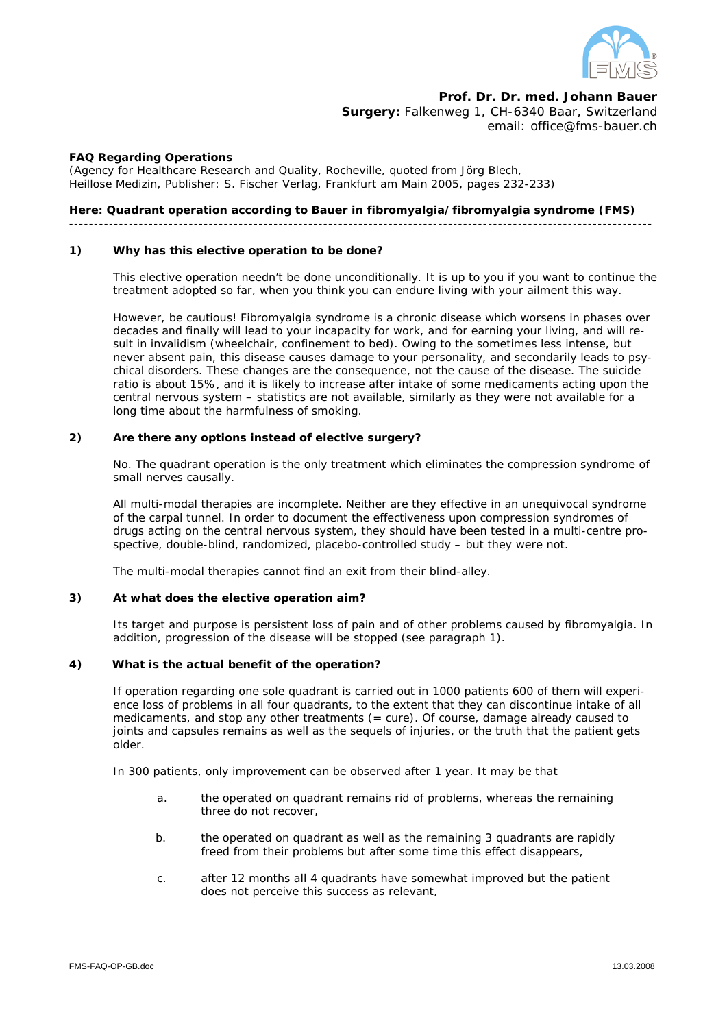

**Prof. Dr. Dr. med. Johann Bauer Surgery:** Falkenweg 1, CH-6340 Baar, Switzerland email: office@fms-bauer.ch

### **FAQ Regarding Operations**

(Agency for Healthcare Research and Quality, Rocheville, quoted from Jörg Blech, Heillose Medizin, Publisher: S. Fischer Verlag, Frankfurt am Main 2005, pages 232-233)

### **Here: Quadrant operation according to Bauer in fibromyalgia/fibromyalgia syndrome (FMS)**

---------------------------------------------------------------------------------------------------------------------

### **1) Why has this elective operation to be done?**

This elective operation needn't be done unconditionally. It is up to you if you want to continue the treatment adopted so far, when you think you can endure living with your ailment this way.

 However, be cautious! Fibromyalgia syndrome is a chronic disease which worsens in phases over decades and finally will lead to your incapacity for work, and for earning your living, and will result in invalidism (wheelchair, confinement to bed). Owing to the sometimes less intense, but never absent pain, this disease causes *damage to your personality*, and secondarily leads to *psychical disorders.* These changes are the consequence, not the cause of the disease. The suicide ratio is about 15%, and it is likely to increase after intake of some medicaments acting upon the central nervous system – statistics are not available, similarly as they were not available for a long time about the harmfulness of smoking.

### **2) Are there any options instead of elective surgery?**

 No. The quadrant operation is the only treatment which eliminates the compression syndrome of small nerves causally.

 All multi-modal therapies are incomplete. Neither are they effective in an unequivocal syndrome of the carpal tunnel. In order to document the effectiveness upon compression syndromes of drugs acting on the central nervous system, they should have been tested in a multi-centre prospective, double-blind, randomized, placebo-controlled study – but they were not.

The multi-modal therapies cannot find an exit from their blind-alley.

### **3) At what does the elective operation aim?**

 Its target and purpose is persistent loss of pain and of other problems caused by fibromyalgia. In addition, progression of the disease will be stopped (see paragraph 1).

### **4) What is the actual benefit of the operation?**

 If operation regarding one sole quadrant is carried out in 1000 patients 600 of them will experience loss of problems in all four quadrants, to the extent that they can discontinue intake of all medicaments, and stop any other treatments (= cure). Of course, damage already caused to joints and capsules remains as well as the sequels of injuries, or the truth that the patient gets older.

In 300 patients, only improvement can be observed after 1 year. It may be that

- a. the operated on quadrant remains rid of problems, whereas the remaining three do not recover,
- b. the operated on quadrant as well as the remaining 3 quadrants are rapidly freed from their problems but after some time this effect disappears,
- c. after 12 months all 4 quadrants have somewhat improved but the patient does not perceive this success as relevant,